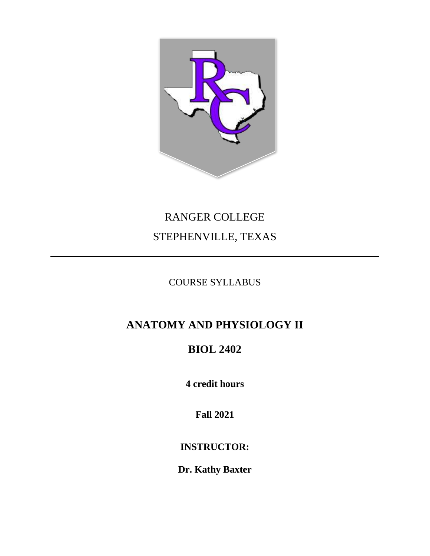

# RANGER COLLEGE STEPHENVILLE, TEXAS

### COURSE SYLLABUS

## **ANATOMY AND PHYSIOLOGY II**

## **BIOL 2402**

**4 credit hours**

**Fall 2021**

**INSTRUCTOR:**

**Dr. Kathy Baxter**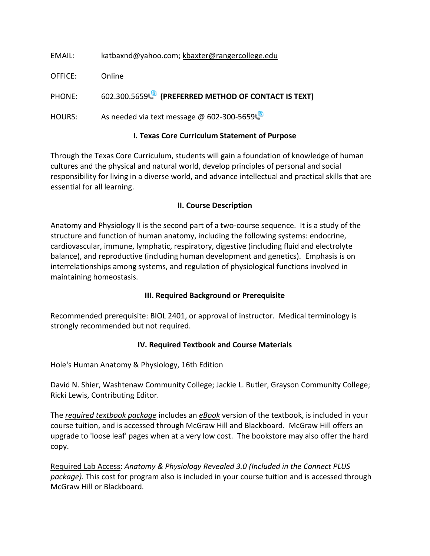| EMAIL:        | katbaxnd@yahoo.com; kbaxter@rangercollege.edu        |
|---------------|------------------------------------------------------|
| OFFICE:       | Online                                               |
| PHONE:        | 602.300.5659 (PREFERRED METHOD OF CONTACT IS TEXT)   |
| <b>HOURS:</b> | As needed via text message @ 602-300-5659            |
|               | <b>I. Texas Core Curriculum Statement of Purpose</b> |

Through the Texas Core Curriculum, students will gain a foundation of knowledge of human cultures and the physical and natural world, develop principles of personal and social responsibility for living in a diverse world, and advance intellectual and practical skills that are essential for all learning.

#### **II. Course Description**

Anatomy and Physiology II is the second part of a two-course sequence. It is a study of the structure and function of human anatomy, including the following systems: endocrine, cardiovascular, immune, lymphatic, respiratory, digestive (including fluid and electrolyte balance), and reproductive (including human development and genetics). Emphasis is on interrelationships among systems, and regulation of physiological functions involved in maintaining homeostasis.

#### **III. Required Background or Prerequisite**

Recommended prerequisite: BIOL 2401, or approval of instructor. Medical terminology is strongly recommended but not required.

#### **IV. Required Textbook and Course Materials**

Hole's Human Anatomy & Physiology, 16th Edition

David N. Shier, Washtenaw Community College; Jackie L. Butler, Grayson Community College; Ricki Lewis, Contributing Editor.

The *required textbook package* includes an *eBook* version of the textbook, is included in your course tuition, and is accessed through McGraw Hill and Blackboard. McGraw Hill offers an upgrade to 'loose leaf' pages when at a very low cost. The bookstore may also offer the hard copy.

Required Lab Access: *Anatomy & Physiology Revealed 3.0 (Included in the Connect PLUS package).* This cost for program also is included in your course tuition and is accessed through McGraw Hill or Blackboard*.*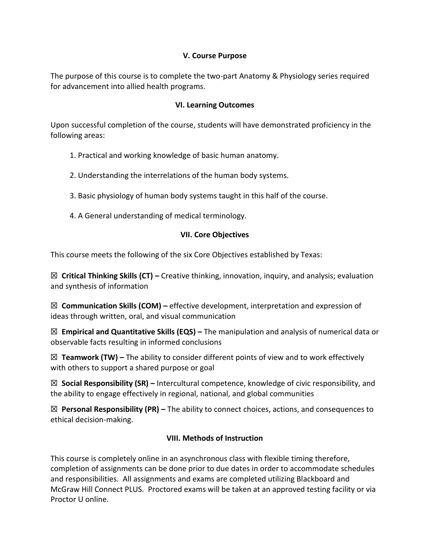#### **V. Course Purpose**

The purpose of this course is to complete the two-part Anatomy & Physiology series required for advancement into allied health programs.

#### **VI. Learning Outcomes**

Upon successful completion of the course, students will have demonstrated proficiency in the following areas:

- 1. Practical and working knowledge of basic human anatomy.
- 2. Understanding the interrelations of the human body systems.
- 3. Basic physiology of human body systems taught in this half of the course.
- 4. A General understanding of medical terminology.

#### **VII. Core Objectives**

This course meets the following of the six Core Objectives established by Texas:

☒ **Critical Thinking Skills (CT) –** Creative thinking, innovation, inquiry, and analysis; evaluation and synthesis of information

☒ **Communication Skills (COM) –** effective development, interpretation and expression of ideas through written, oral, and visual communication

☒ **Empirical and Quantitative Skills (EQS) –** The manipulation and analysis of numerical data or observable facts resulting in informed conclusions

☒ **Teamwork (TW) –** The ability to consider different points of view and to work effectively with others to support a shared purpose or goal

☒ **Social Responsibility (SR) –** Intercultural competence, knowledge of civic responsibility, and the ability to engage effectively in regional, national, and global communities

☒ **Personal Responsibility (PR) –** The ability to connect choices, actions, and consequences to ethical decision-making.

#### **VIII. Methods of Instruction**

This course is completely online in an asynchronous class with flexible timing therefore, completion of assignments can be done prior to due dates in order to accommodate schedules and responsibilities. All assignments and exams are completed utilizing Blackboard and McGraw Hill Connect PLUS. Proctored exams will be taken at an approved testing facility or via Proctor U online.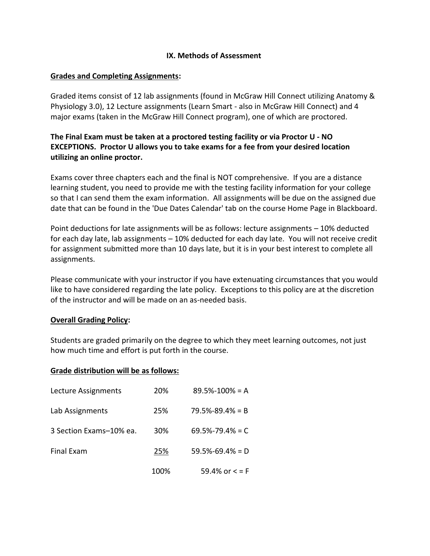#### **IX. Methods of Assessment**

#### **Grades and Completing Assignments:**

Graded items consist of 12 lab assignments (found in McGraw Hill Connect utilizing Anatomy & Physiology 3.0), 12 Lecture assignments (Learn Smart - also in McGraw Hill Connect) and 4 major exams (taken in the McGraw Hill Connect program), one of which are proctored.

#### **The Final Exam must be taken at a proctored testing facility or via Proctor U - NO EXCEPTIONS. Proctor U allows you to take exams for a fee from your desired location utilizing an online proctor.**

Exams cover three chapters each and the final is NOT comprehensive. If you are a distance learning student, you need to provide me with the testing facility information for your college so that I can send them the exam information. All assignments will be due on the assigned due date that can be found in the 'Due Dates Calendar' tab on the course Home Page in Blackboard.

Point deductions for late assignments will be as follows: lecture assignments – 10% deducted for each day late, lab assignments – 10% deducted for each day late. You will not receive credit for assignment submitted more than 10 days late, but it is in your best interest to complete all assignments.

Please communicate with your instructor if you have extenuating circumstances that you would like to have considered regarding the late policy. Exceptions to this policy are at the discretion of the instructor and will be made on an as-needed basis.

#### **Overall Grading Policy:**

Students are graded primarily on the degree to which they meet learning outcomes, not just how much time and effort is put forth in the course.

#### **Grade distribution will be as follows:**

| Lecture Assignments     | 20%  | $89.5\% - 100\% = A$  |
|-------------------------|------|-----------------------|
| Lab Assignments         | 25%  | $79.5\% - 89.4\% = B$ |
| 3 Section Exams-10% ea. | 30%  | $69.5\% - 79.4\% = C$ |
| <b>Final Exam</b>       | 25%  | $59.5\% - 69.4\% = D$ |
|                         | 100% | 59.4% or $\lt$ = F    |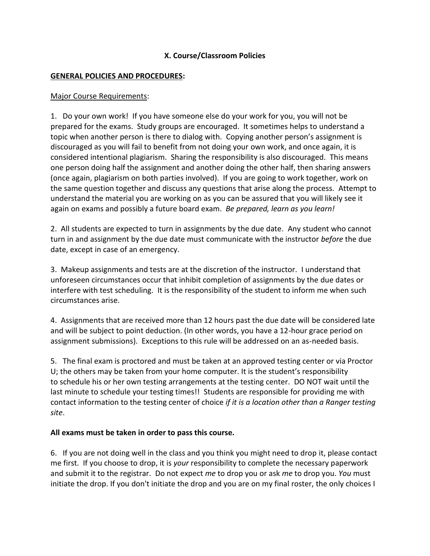#### **X. Course/Classroom Policies**

#### **GENERAL POLICIES AND PROCEDURES:**

#### Major Course Requirements:

1. Do your own work! If you have someone else do your work for you, you will not be prepared for the exams. Study groups are encouraged. It sometimes helps to understand a topic when another person is there to dialog with. Copying another person's assignment is discouraged as you will fail to benefit from not doing your own work, and once again, it is considered intentional plagiarism. Sharing the responsibility is also discouraged. This means one person doing half the assignment and another doing the other half, then sharing answers (once again, plagiarism on both parties involved). If you are going to work together, work on the same question together and discuss any questions that arise along the process. Attempt to understand the material you are working on as you can be assured that you will likely see it again on exams and possibly a future board exam. *Be prepared, learn as you learn!*

2. All students are expected to turn in assignments by the due date. Any student who cannot turn in and assignment by the due date must communicate with the instructor *before* the due date, except in case of an emergency.

3. Makeup assignments and tests are at the discretion of the instructor. I understand that unforeseen circumstances occur that inhibit completion of assignments by the due dates or interfere with test scheduling. It is the responsibility of the student to inform me when such circumstances arise.

4. Assignments that are received more than 12 hours past the due date will be considered late and will be subject to point deduction. (In other words, you have a 12-hour grace period on assignment submissions). Exceptions to this rule will be addressed on an as-needed basis.

5. The final exam is proctored and must be taken at an approved testing center or via Proctor U; the others may be taken from your home computer. It is the student's responsibility to schedule his or her own testing arrangements at the testing center. DO NOT wait until the last minute to schedule your testing times!! Students are responsible for providing me with contact information to the testing center of choice *if it is a location other than a Ranger testing site*.

#### **All exams must be taken in order to pass this course.**

6. If you are not doing well in the class and you think you might need to drop it, please contact me first. If you choose to drop, it is *your* responsibility to complete the necessary paperwork and submit it to the registrar. Do not expect *me* to drop you or ask *me* to drop you. *You* must initiate the drop. If you don't initiate the drop and you are on my final roster, the only choices I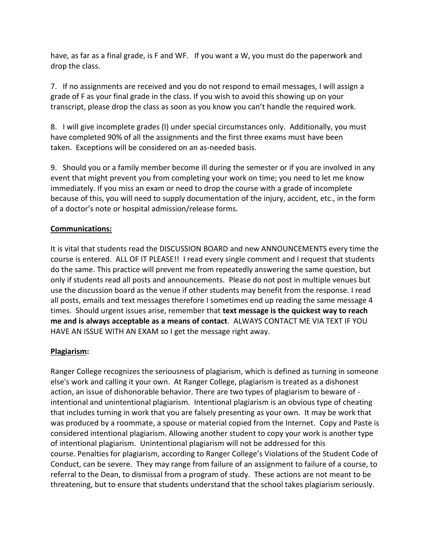have, as far as a final grade, is F and WF. If you want a W, you must do the paperwork and drop the class.

7. If no assignments are received and you do not respond to email messages, I will assign a grade of F as your final grade in the class. If you wish to avoid this showing up on your transcript, please drop the class as soon as you know you can't handle the required work.

8. I will give incomplete grades (I) under special circumstances only. Additionally, you must have completed 90% of all the assignments and the first three exams must have been taken. Exceptions will be considered on an as-needed basis.

9. Should you or a family member become ill during the semester or if you are involved in any event that might prevent you from completing your work on time; you need to let me know immediately. If you miss an exam or need to drop the course with a grade of incomplete because of this, you will need to supply documentation of the injury, accident, etc., in the form of a doctor's note or hospital admission/release forms.

#### **Communications:**

It is vital that students read the DISCUSSION BOARD and new ANNOUNCEMENTS every time the course is entered. ALL OF IT PLEASE!! I read every single comment and I request that students do the same. This practice will prevent me from repeatedly answering the same question, but only if students read all posts and announcements. Please do not post in multiple venues but use the discussion board as the venue if other students may benefit from the response. I read all posts, emails and text messages therefore I sometimes end up reading the same message 4 times. Should urgent issues arise, remember that **text message is the quickest way to reach me and is always acceptable as a means of contact**. ALWAYS CONTACT ME VIA TEXT IF YOU HAVE AN ISSUE WITH AN EXAM so I get the message right away.

#### **Plagiarism:**

Ranger College recognizes the seriousness of plagiarism, which is defined as turning in someone else's work and calling it your own. At Ranger College, plagiarism is treated as a dishonest action, an issue of dishonorable behavior. There are two types of plagiarism to beware of intentional and unintentional plagiarism. Intentional plagiarism is an obvious type of cheating that includes turning in work that you are falsely presenting as your own. It may be work that was produced by a roommate, a spouse or material copied from the Internet. Copy and Paste is considered intentional plagiarism. Allowing another student to copy your work is another type of intentional plagiarism. Unintentional plagiarism will not be addressed for this course. Penalties for plagiarism, according to Ranger College's Violations of the Student Code of Conduct, can be severe. They may range from failure of an assignment to failure of a course, to referral to the Dean, to dismissal from a program of study. These actions are not meant to be threatening, but to ensure that students understand that the school takes plagiarism seriously.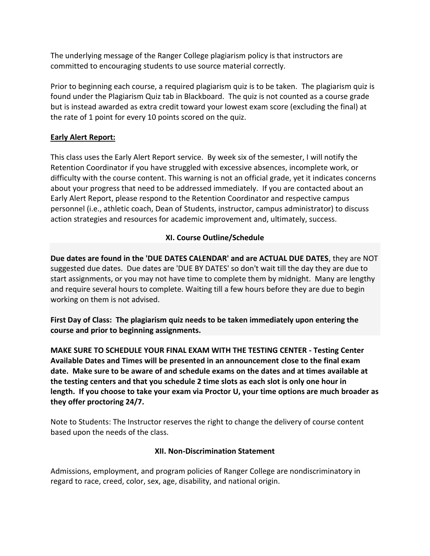The underlying message of the Ranger College plagiarism policy is that instructors are committed to encouraging students to use source material correctly.

Prior to beginning each course, a required plagiarism quiz is to be taken. The plagiarism quiz is found under the Plagiarism Quiz tab in Blackboard. The quiz is not counted as a course grade but is instead awarded as extra credit toward your lowest exam score (excluding the final) at the rate of 1 point for every 10 points scored on the quiz.

#### **Early Alert Report:**

This class uses the Early Alert Report service. By week six of the semester, I will notify the Retention Coordinator if you have struggled with excessive absences, incomplete work, or difficulty with the course content. This warning is not an official grade, yet it indicates concerns about your progress that need to be addressed immediately. If you are contacted about an Early Alert Report, please respond to the Retention Coordinator and respective campus personnel (i.e., athletic coach, Dean of Students, instructor, campus administrator) to discuss action strategies and resources for academic improvement and, ultimately, success.

#### **XI. Course Outline/Schedule**

**Due dates are found in the 'DUE DATES CALENDAR' and are ACTUAL DUE DATES**, they are NOT suggested due dates. Due dates are 'DUE BY DATES' so don't wait till the day they are due to start assignments, or you may not have time to complete them by midnight. Many are lengthy and require several hours to complete. Waiting till a few hours before they are due to begin working on them is not advised.

**First Day of Class: The plagiarism quiz needs to be taken immediately upon entering the course and prior to beginning assignments.**

**MAKE SURE TO SCHEDULE YOUR FINAL EXAM WITH THE TESTING CENTER - Testing Center Available Dates and Times will be presented in an announcement close to the final exam date. Make sure to be aware of and schedule exams on the dates and at times available at the testing centers and that you schedule 2 time slots as each slot is only one hour in length. If you choose to take your exam via Proctor U, your time options are much broader as they offer proctoring 24/7.**

Note to Students: The Instructor reserves the right to change the delivery of course content based upon the needs of the class.

#### **XII. Non-Discrimination Statement**

Admissions, employment, and program policies of Ranger College are nondiscriminatory in regard to race, creed, color, sex, age, disability, and national origin.